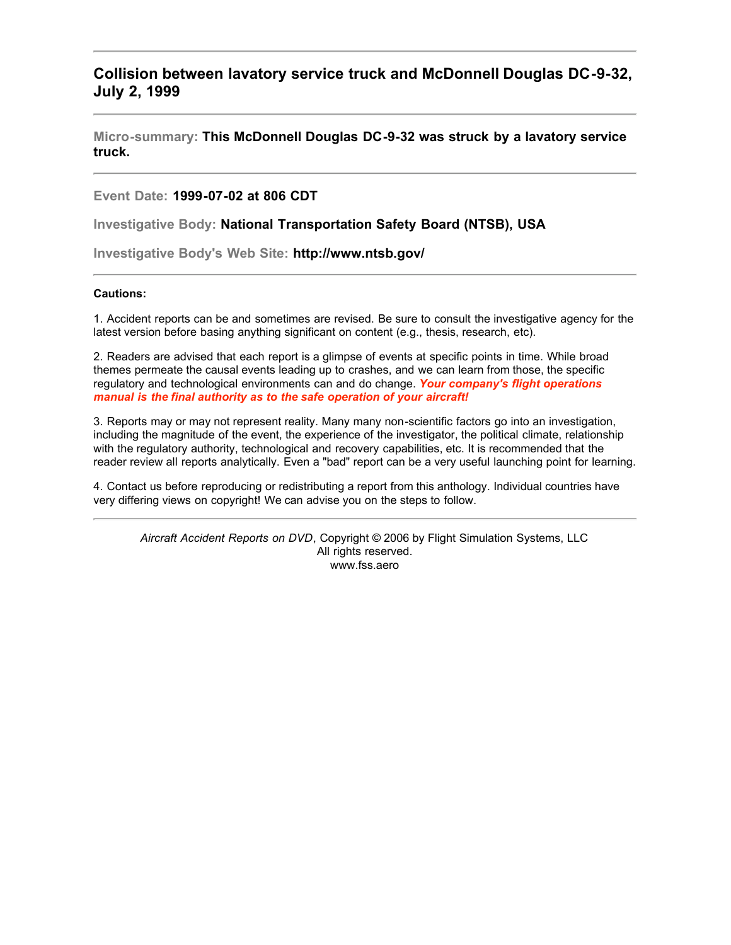## **Collision between lavatory service truck and McDonnell Douglas DC-9-32, July 2, 1999**

**Micro-summary: This McDonnell Douglas DC-9-32 was struck by a lavatory service truck.**

**Event Date: 1999-07-02 at 806 CDT**

**Investigative Body: National Transportation Safety Board (NTSB), USA**

**Investigative Body's Web Site: http://www.ntsb.gov/**

## **Cautions:**

1. Accident reports can be and sometimes are revised. Be sure to consult the investigative agency for the latest version before basing anything significant on content (e.g., thesis, research, etc).

2. Readers are advised that each report is a glimpse of events at specific points in time. While broad themes permeate the causal events leading up to crashes, and we can learn from those, the specific regulatory and technological environments can and do change. *Your company's flight operations manual is the final authority as to the safe operation of your aircraft!*

3. Reports may or may not represent reality. Many many non-scientific factors go into an investigation, including the magnitude of the event, the experience of the investigator, the political climate, relationship with the regulatory authority, technological and recovery capabilities, etc. It is recommended that the reader review all reports analytically. Even a "bad" report can be a very useful launching point for learning.

4. Contact us before reproducing or redistributing a report from this anthology. Individual countries have very differing views on copyright! We can advise you on the steps to follow.

*Aircraft Accident Reports on DVD*, Copyright © 2006 by Flight Simulation Systems, LLC All rights reserved. www.fss.aero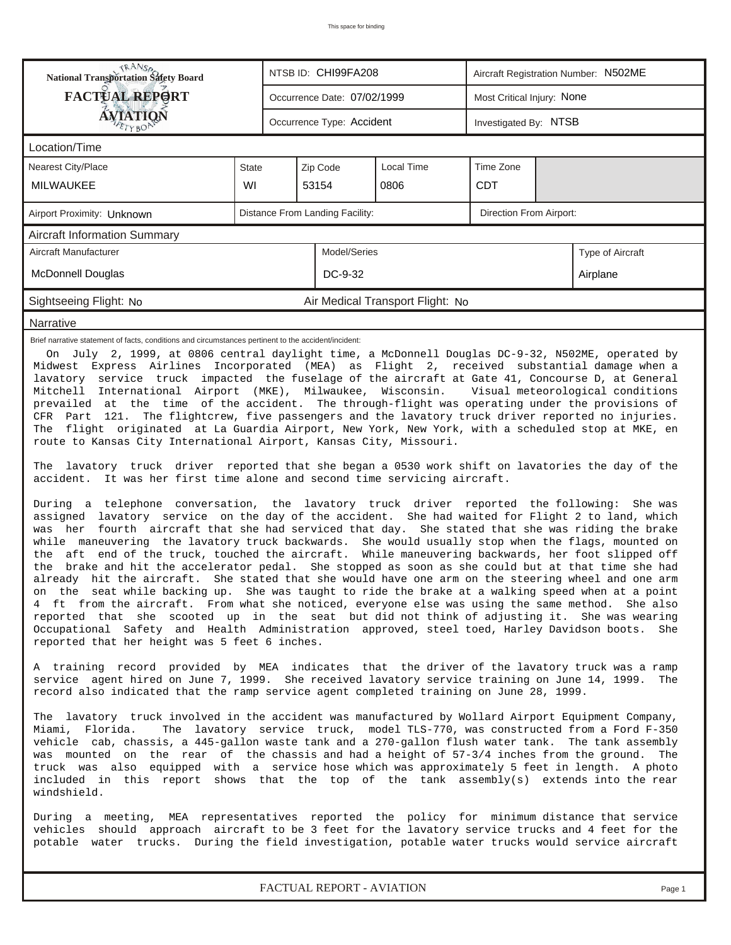| <b>National Transportation Safety Board</b><br>NTSB ID: CHI99FA208<br>Aircraft Registration Number: N502ME                                                                                                                                                                                                                                                                                                                                                                                                                                                                                                                                                                                                                                                                                                                                                                                                                                                                                                                                                                                                                                                                                                                                                                                                                                                                                                                                                                                                                                                                                                                                                                                                                                                                                                                                                                                                                                                                                                                                                                                                                                                                                                                                                                                                                                                                                                                                                                                                                                                                                                                                                                                                                                                                                                                                                                                                                                                                                                                                                                                                                                                                                                                                                                                                                                                                                                  |                                                    |                                                           |  |  |  |  |  |  |  |  |  |
|-------------------------------------------------------------------------------------------------------------------------------------------------------------------------------------------------------------------------------------------------------------------------------------------------------------------------------------------------------------------------------------------------------------------------------------------------------------------------------------------------------------------------------------------------------------------------------------------------------------------------------------------------------------------------------------------------------------------------------------------------------------------------------------------------------------------------------------------------------------------------------------------------------------------------------------------------------------------------------------------------------------------------------------------------------------------------------------------------------------------------------------------------------------------------------------------------------------------------------------------------------------------------------------------------------------------------------------------------------------------------------------------------------------------------------------------------------------------------------------------------------------------------------------------------------------------------------------------------------------------------------------------------------------------------------------------------------------------------------------------------------------------------------------------------------------------------------------------------------------------------------------------------------------------------------------------------------------------------------------------------------------------------------------------------------------------------------------------------------------------------------------------------------------------------------------------------------------------------------------------------------------------------------------------------------------------------------------------------------------------------------------------------------------------------------------------------------------------------------------------------------------------------------------------------------------------------------------------------------------------------------------------------------------------------------------------------------------------------------------------------------------------------------------------------------------------------------------------------------------------------------------------------------------------------------------------------------------------------------------------------------------------------------------------------------------------------------------------------------------------------------------------------------------------------------------------------------------------------------------------------------------------------------------------------------------------------------------------------------------------------------------------------------------|----------------------------------------------------|-----------------------------------------------------------|--|--|--|--|--|--|--|--|--|
| <b>FACTUAL REPORT</b>                                                                                                                                                                                                                                                                                                                                                                                                                                                                                                                                                                                                                                                                                                                                                                                                                                                                                                                                                                                                                                                                                                                                                                                                                                                                                                                                                                                                                                                                                                                                                                                                                                                                                                                                                                                                                                                                                                                                                                                                                                                                                                                                                                                                                                                                                                                                                                                                                                                                                                                                                                                                                                                                                                                                                                                                                                                                                                                                                                                                                                                                                                                                                                                                                                                                                                                                                                                       |                                                    | Most Critical Injury: None<br>Occurrence Date: 07/02/1999 |  |  |  |  |  |  |  |  |  |
| <b>ÁVIATION</b><br>ETYBOP                                                                                                                                                                                                                                                                                                                                                                                                                                                                                                                                                                                                                                                                                                                                                                                                                                                                                                                                                                                                                                                                                                                                                                                                                                                                                                                                                                                                                                                                                                                                                                                                                                                                                                                                                                                                                                                                                                                                                                                                                                                                                                                                                                                                                                                                                                                                                                                                                                                                                                                                                                                                                                                                                                                                                                                                                                                                                                                                                                                                                                                                                                                                                                                                                                                                                                                                                                                   | Occurrence Type: Accident<br>Investigated By: NTSB |                                                           |  |  |  |  |  |  |  |  |  |
| Location/Time                                                                                                                                                                                                                                                                                                                                                                                                                                                                                                                                                                                                                                                                                                                                                                                                                                                                                                                                                                                                                                                                                                                                                                                                                                                                                                                                                                                                                                                                                                                                                                                                                                                                                                                                                                                                                                                                                                                                                                                                                                                                                                                                                                                                                                                                                                                                                                                                                                                                                                                                                                                                                                                                                                                                                                                                                                                                                                                                                                                                                                                                                                                                                                                                                                                                                                                                                                                               |                                                    |                                                           |  |  |  |  |  |  |  |  |  |
| <b>Nearest City/Place</b>                                                                                                                                                                                                                                                                                                                                                                                                                                                                                                                                                                                                                                                                                                                                                                                                                                                                                                                                                                                                                                                                                                                                                                                                                                                                                                                                                                                                                                                                                                                                                                                                                                                                                                                                                                                                                                                                                                                                                                                                                                                                                                                                                                                                                                                                                                                                                                                                                                                                                                                                                                                                                                                                                                                                                                                                                                                                                                                                                                                                                                                                                                                                                                                                                                                                                                                                                                                   | <b>State</b>                                       | Time Zone<br>Local Time<br>Zip Code                       |  |  |  |  |  |  |  |  |  |
| <b>MILWAUKEE</b>                                                                                                                                                                                                                                                                                                                                                                                                                                                                                                                                                                                                                                                                                                                                                                                                                                                                                                                                                                                                                                                                                                                                                                                                                                                                                                                                                                                                                                                                                                                                                                                                                                                                                                                                                                                                                                                                                                                                                                                                                                                                                                                                                                                                                                                                                                                                                                                                                                                                                                                                                                                                                                                                                                                                                                                                                                                                                                                                                                                                                                                                                                                                                                                                                                                                                                                                                                                            | WI                                                 | <b>CDT</b><br>53154<br>0806                               |  |  |  |  |  |  |  |  |  |
| Distance From Landing Facility:<br>Direction From Airport:<br>Airport Proximity: Unknown                                                                                                                                                                                                                                                                                                                                                                                                                                                                                                                                                                                                                                                                                                                                                                                                                                                                                                                                                                                                                                                                                                                                                                                                                                                                                                                                                                                                                                                                                                                                                                                                                                                                                                                                                                                                                                                                                                                                                                                                                                                                                                                                                                                                                                                                                                                                                                                                                                                                                                                                                                                                                                                                                                                                                                                                                                                                                                                                                                                                                                                                                                                                                                                                                                                                                                                    |                                                    |                                                           |  |  |  |  |  |  |  |  |  |
| <b>Aircraft Information Summary</b>                                                                                                                                                                                                                                                                                                                                                                                                                                                                                                                                                                                                                                                                                                                                                                                                                                                                                                                                                                                                                                                                                                                                                                                                                                                                                                                                                                                                                                                                                                                                                                                                                                                                                                                                                                                                                                                                                                                                                                                                                                                                                                                                                                                                                                                                                                                                                                                                                                                                                                                                                                                                                                                                                                                                                                                                                                                                                                                                                                                                                                                                                                                                                                                                                                                                                                                                                                         |                                                    |                                                           |  |  |  |  |  |  |  |  |  |
| Aircraft Manufacturer<br>Model/Series<br>Type of Aircraft                                                                                                                                                                                                                                                                                                                                                                                                                                                                                                                                                                                                                                                                                                                                                                                                                                                                                                                                                                                                                                                                                                                                                                                                                                                                                                                                                                                                                                                                                                                                                                                                                                                                                                                                                                                                                                                                                                                                                                                                                                                                                                                                                                                                                                                                                                                                                                                                                                                                                                                                                                                                                                                                                                                                                                                                                                                                                                                                                                                                                                                                                                                                                                                                                                                                                                                                                   |                                                    |                                                           |  |  |  |  |  |  |  |  |  |
| <b>McDonnell Douglas</b><br>DC-9-32<br>Airplane                                                                                                                                                                                                                                                                                                                                                                                                                                                                                                                                                                                                                                                                                                                                                                                                                                                                                                                                                                                                                                                                                                                                                                                                                                                                                                                                                                                                                                                                                                                                                                                                                                                                                                                                                                                                                                                                                                                                                                                                                                                                                                                                                                                                                                                                                                                                                                                                                                                                                                                                                                                                                                                                                                                                                                                                                                                                                                                                                                                                                                                                                                                                                                                                                                                                                                                                                             |                                                    |                                                           |  |  |  |  |  |  |  |  |  |
| Sightseeing Flight: No                                                                                                                                                                                                                                                                                                                                                                                                                                                                                                                                                                                                                                                                                                                                                                                                                                                                                                                                                                                                                                                                                                                                                                                                                                                                                                                                                                                                                                                                                                                                                                                                                                                                                                                                                                                                                                                                                                                                                                                                                                                                                                                                                                                                                                                                                                                                                                                                                                                                                                                                                                                                                                                                                                                                                                                                                                                                                                                                                                                                                                                                                                                                                                                                                                                                                                                                                                                      | Air Medical Transport Flight: No                   |                                                           |  |  |  |  |  |  |  |  |  |
| Narrative                                                                                                                                                                                                                                                                                                                                                                                                                                                                                                                                                                                                                                                                                                                                                                                                                                                                                                                                                                                                                                                                                                                                                                                                                                                                                                                                                                                                                                                                                                                                                                                                                                                                                                                                                                                                                                                                                                                                                                                                                                                                                                                                                                                                                                                                                                                                                                                                                                                                                                                                                                                                                                                                                                                                                                                                                                                                                                                                                                                                                                                                                                                                                                                                                                                                                                                                                                                                   |                                                    |                                                           |  |  |  |  |  |  |  |  |  |
| On July 2, 1999, at 0806 central daylight time, a McDonnell Douglas DC-9-32, N502ME, operated by<br>Midwest Express Airlines Incorporated (MEA) as Flight 2, received substantial damage when a<br>lavatory service truck impacted the fuselage of the aircraft at Gate 41, Concourse D, at General<br>Mitchell International Airport (MKE), Milwaukee, Wisconsin. Visual meteorological conditions<br>prevailed at the time of the accident. The through-flight was operating under the provisions of<br>CFR Part 121. The flightcrew, five passengers and the lavatory truck driver reported no injuries.<br>The flight originated at La Guardia Airport, New York, New York, with a scheduled stop at MKE, en<br>route to Kansas City International Airport, Kansas City, Missouri.<br>The lavatory truck driver reported that she began a 0530 work shift on lavatories the day of the<br>accident. It was her first time alone and second time servicing aircraft.<br>During a telephone conversation, the lavatory truck driver reported the following: She was<br>assigned lavatory service on the day of the accident. She had waited for Flight 2 to land, which<br>was her fourth aircraft that she had serviced that day. She stated that she was riding the brake<br>while maneuvering the lavatory truck backwards. She would usually stop when the flags, mounted on<br>the aft end of the truck, touched the aircraft. While maneuvering backwards, her foot slipped off<br>the brake and hit the accelerator pedal. She stopped as soon as she could but at that time she had<br>already hit the aircraft. She stated that she would have one arm on the steering wheel and one arm<br>on the seat while backing up. She was taught to ride the brake at a walking speed when at a point<br>4 ft from the aircraft. From what she noticed, everyone else was using the same method. She also<br>reported that she scooted up in the seat but did not think of adjusting it. She was wearing<br>Occupational Safety and Health Administration approved, steel toed, Harley Davidson boots.<br>She<br>reported that her height was 5 feet 6 inches.<br>A training record provided by MEA indicates that the driver of the lavatory truck was a ramp<br>service agent hired on June 7, 1999. She received lavatory service training on June 14, 1999.<br>The<br>record also indicated that the ramp service agent completed training on June 28, 1999.<br>The lavatory truck involved in the accident was manufactured by Wollard Airport Equipment Company,<br>The lavatory service truck, model TLS-770, was constructed from a Ford F-350<br>Miami, Florida.<br>vehicle cab, chassis, a 445-gallon waste tank and a 270-gallon flush water tank. The tank assembly<br>was mounted on the rear of the chassis and had a height of 57-3/4 inches from the ground.<br>The<br>truck was also equipped with a service hose which was approximately 5 feet in length. A photo<br>included in this report shows that the top of the tank assembly(s) extends into the rear<br>windshield.<br>During a meeting, MEA representatives reported the policy for minimum distance that service<br>vehicles should approach aircraft to be 3 feet for the lavatory service trucks and 4 feet for the<br>potable water trucks. During the field investigation, potable water trucks would service aircraft |                                                    |                                                           |  |  |  |  |  |  |  |  |  |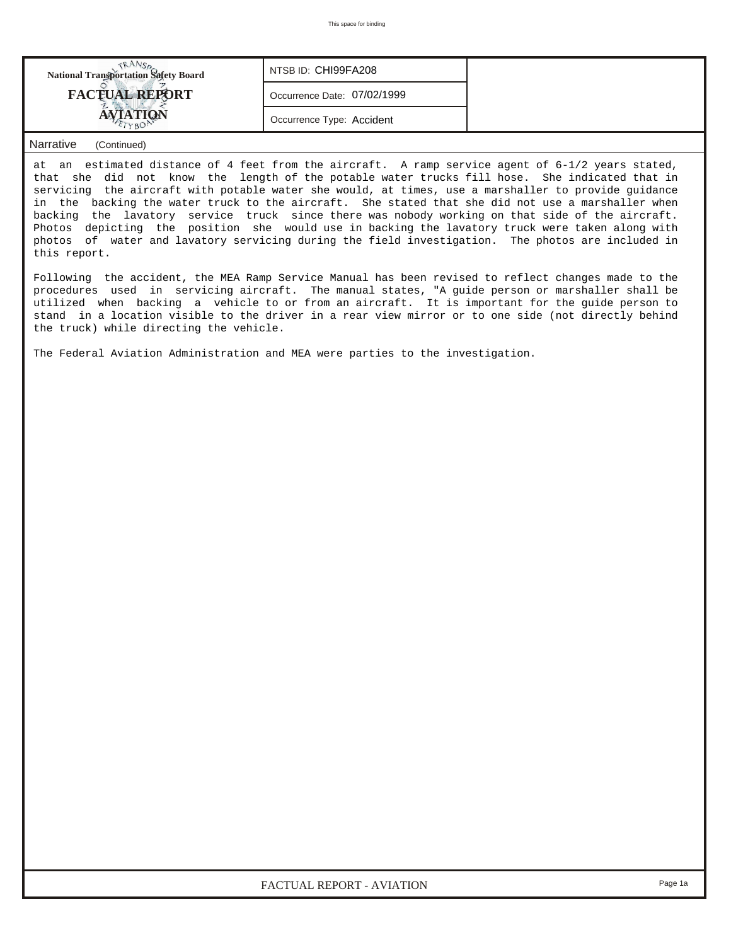| <b>National Transportation Safety Board</b> | NTSB ID: CHI99FA208         |  |
|---------------------------------------------|-----------------------------|--|
| <b>FACTUAL REPORT</b>                       | Occurrence Date: 07/02/1999 |  |
|                                             | Occurrence Type: Accident   |  |

## *Narrative (Continued)*

at an estimated distance of 4 feet from the aircraft. A ramp service agent of 6-1/2 years stated, that she did not know the length of the potable water trucks fill hose. She indicated that in servicing the aircraft with potable water she would, at times, use a marshaller to provide guidance in the backing the water truck to the aircraft. She stated that she did not use a marshaller when backing the lavatory service truck since there was nobody working on that side of the aircraft. Photos depicting the position she would use in backing the lavatory truck were taken along with photos of water and lavatory servicing during the field investigation. The photos are included in this report.

Following the accident, the MEA Ramp Service Manual has been revised to reflect changes made to the procedures used in servicing aircraft. The manual states, "A guide person or marshaller shall be utilized when backing a vehicle to or from an aircraft. It is important for the guide person to stand in a location visible to the driver in a rear view mirror or to one side (not directly behind the truck) while directing the vehicle.

The Federal Aviation Administration and MEA were parties to the investigation.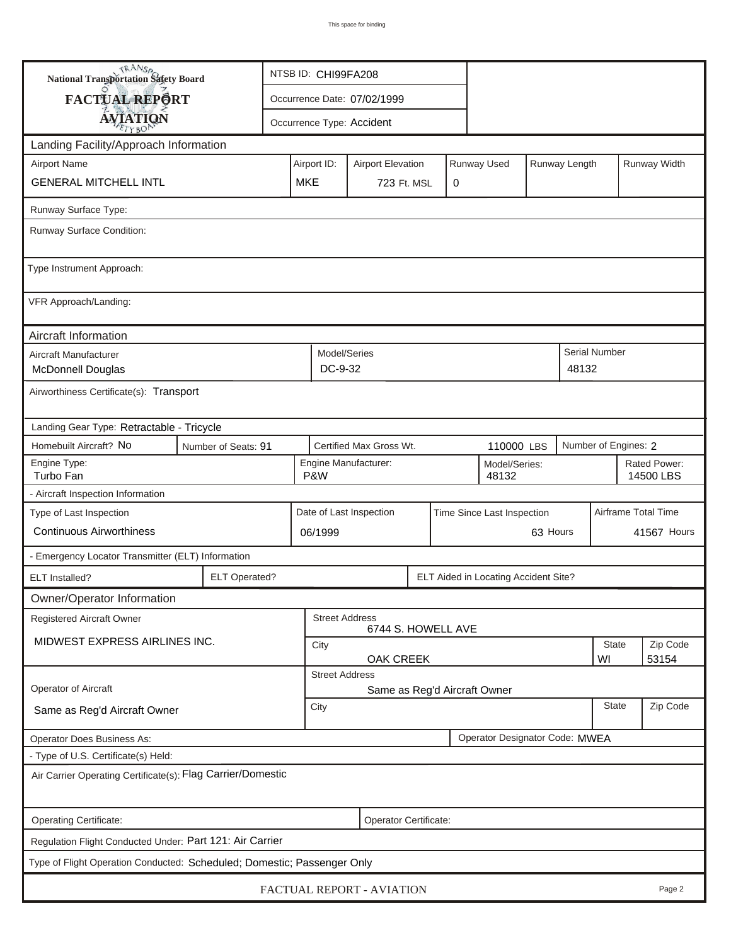| <b>National Transportation Safety Board</b>                             |                                                       | NTSB ID: CHI99FA208                         |                                                                         |                             |            |  |                                      |                      |                           |                   |              |  |
|-------------------------------------------------------------------------|-------------------------------------------------------|---------------------------------------------|-------------------------------------------------------------------------|-----------------------------|------------|--|--------------------------------------|----------------------|---------------------------|-------------------|--------------|--|
| FACTUAL REPORT                                                          |                                                       |                                             |                                                                         | Occurrence Date: 07/02/1999 |            |  |                                      |                      |                           |                   |              |  |
| <b>AVIATION</b>                                                         |                                                       |                                             | Occurrence Type: Accident                                               |                             |            |  |                                      |                      |                           |                   |              |  |
| Landing Facility/Approach Information                                   |                                                       |                                             |                                                                         |                             |            |  |                                      |                      |                           |                   |              |  |
| <b>Airport Name</b>                                                     |                                                       |                                             | Runway Used<br>Runway Length<br>Airport ID:<br><b>Airport Elevation</b> |                             |            |  |                                      |                      |                           |                   | Runway Width |  |
| <b>GENERAL MITCHELL INTL</b>                                            |                                                       |                                             | <b>MKE</b><br>723 Ft. MSL<br>0                                          |                             |            |  |                                      |                      |                           |                   |              |  |
| Runway Surface Type:                                                    |                                                       |                                             |                                                                         |                             |            |  |                                      |                      |                           |                   |              |  |
| Runway Surface Condition:                                               |                                                       |                                             |                                                                         |                             |            |  |                                      |                      |                           |                   |              |  |
| Type Instrument Approach:                                               |                                                       |                                             |                                                                         |                             |            |  |                                      |                      |                           |                   |              |  |
| VFR Approach/Landing:                                                   |                                                       |                                             |                                                                         |                             |            |  |                                      |                      |                           |                   |              |  |
| Aircraft Information                                                    |                                                       |                                             |                                                                         |                             |            |  |                                      |                      |                           |                   |              |  |
| Aircraft Manufacturer<br><b>McDonnell Douglas</b>                       |                                                       | Model/Series<br>DC-9-32<br>48132            |                                                                         |                             |            |  |                                      |                      | Serial Number             |                   |              |  |
| Airworthiness Certificate(s): Transport                                 |                                                       |                                             |                                                                         |                             |            |  |                                      |                      |                           |                   |              |  |
| Landing Gear Type: Retractable - Tricycle                               |                                                       |                                             |                                                                         |                             |            |  |                                      |                      |                           |                   |              |  |
| Homebuilt Aircraft? No                                                  | Number of Seats: 91                                   |                                             |                                                                         | Certified Max Gross Wt.     | 110000 LBS |  |                                      | Number of Engines: 2 |                           |                   |              |  |
| Engine Type:<br>Turbo Fan                                               | Engine Manufacturer:<br>Model/Series:<br>P&W<br>48132 |                                             |                                                                         |                             |            |  |                                      |                      | Rated Power:<br>14500 LBS |                   |              |  |
| - Aircraft Inspection Information                                       |                                                       |                                             |                                                                         |                             |            |  |                                      |                      |                           |                   |              |  |
| Type of Last Inspection                                                 | Date of Last Inspection<br>Time Since Last Inspection |                                             |                                                                         |                             |            |  |                                      | Airframe Total Time  |                           |                   |              |  |
| <b>Continuous Airworthiness</b>                                         |                                                       | 63 Hours<br>06/1999                         |                                                                         |                             |            |  |                                      |                      | 41567 Hours               |                   |              |  |
| - Emergency Locator Transmitter (ELT) Information                       |                                                       |                                             |                                                                         |                             |            |  |                                      |                      |                           |                   |              |  |
| ELT Installed?                                                          | <b>ELT Operated?</b>                                  |                                             |                                                                         |                             |            |  | ELT Aided in Locating Accident Site? |                      |                           |                   |              |  |
| Owner/Operator Information                                              |                                                       |                                             |                                                                         |                             |            |  |                                      |                      |                           |                   |              |  |
| Registered Aircraft Owner                                               |                                                       | <b>Street Address</b><br>6744 S. HOWELL AVE |                                                                         |                             |            |  |                                      |                      |                           |                   |              |  |
| MIDWEST EXPRESS AIRLINES INC.                                           |                                                       |                                             | <b>State</b><br>City<br>WI<br>OAK CREEK                                 |                             |            |  |                                      |                      |                           | Zip Code<br>53154 |              |  |
|                                                                         |                                                       |                                             | <b>Street Address</b>                                                   |                             |            |  |                                      |                      |                           |                   |              |  |
| Operator of Aircraft                                                    |                                                       | Same as Reg'd Aircraft Owner                |                                                                         |                             |            |  |                                      |                      |                           |                   |              |  |
| Same as Reg'd Aircraft Owner                                            |                                                       | <b>State</b><br>City                        |                                                                         |                             |            |  |                                      |                      | Zip Code                  |                   |              |  |
| <b>Operator Does Business As:</b>                                       |                                                       | Operator Designator Code: MWEA              |                                                                         |                             |            |  |                                      |                      |                           |                   |              |  |
| - Type of U.S. Certificate(s) Held:                                     |                                                       |                                             |                                                                         |                             |            |  |                                      |                      |                           |                   |              |  |
| Air Carrier Operating Certificate(s): Flag Carrier/Domestic             |                                                       |                                             |                                                                         |                             |            |  |                                      |                      |                           |                   |              |  |
| Operating Certificate:                                                  |                                                       |                                             |                                                                         | Operator Certificate:       |            |  |                                      |                      |                           |                   |              |  |
| Regulation Flight Conducted Under: Part 121: Air Carrier                |                                                       |                                             |                                                                         |                             |            |  |                                      |                      |                           |                   |              |  |
| Type of Flight Operation Conducted: Scheduled; Domestic; Passenger Only |                                                       |                                             |                                                                         |                             |            |  |                                      |                      |                           |                   |              |  |
|                                                                         |                                                       |                                             |                                                                         | FACTUAL REPORT - AVIATION   |            |  |                                      |                      |                           |                   | Page 2       |  |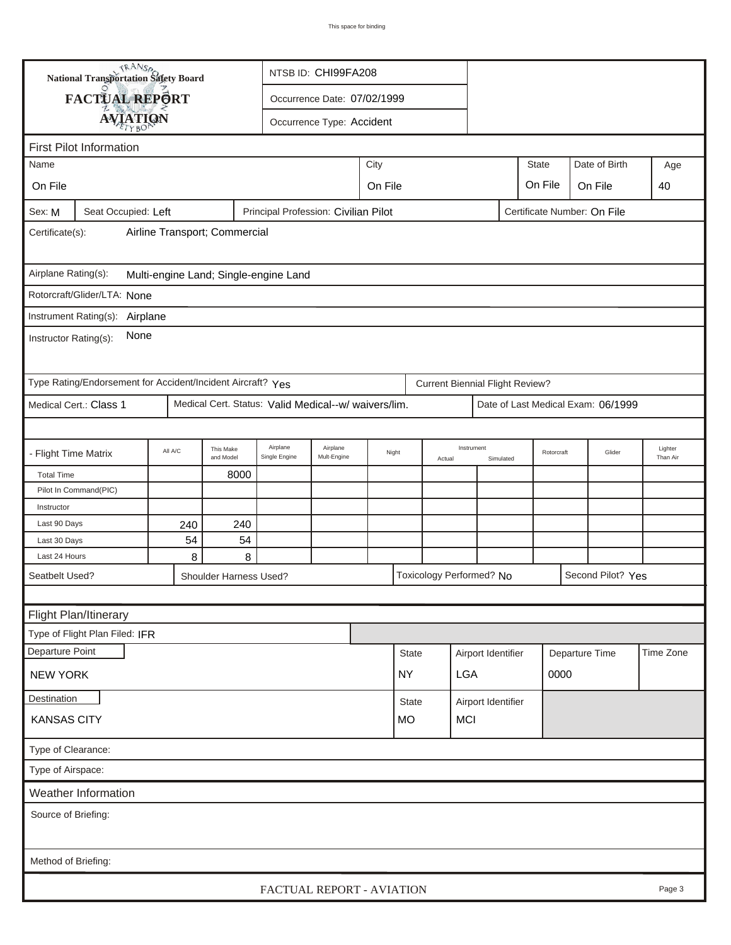|                                                                                                                   | <b>National Transportation Safety Board</b><br>NTSB ID: CHI99FA208              |                               |   |                                       |                             |         |              |        |                                        |           |                |                                    |                     |
|-------------------------------------------------------------------------------------------------------------------|---------------------------------------------------------------------------------|-------------------------------|---|---------------------------------------|-----------------------------|---------|--------------|--------|----------------------------------------|-----------|----------------|------------------------------------|---------------------|
|                                                                                                                   | <b>FACTUAL REPORT</b>                                                           |                               |   |                                       | Occurrence Date: 07/02/1999 |         |              |        |                                        |           |                |                                    |                     |
|                                                                                                                   | <b>AVIATION</b>                                                                 |                               |   |                                       | Occurrence Type: Accident   |         |              |        |                                        |           |                |                                    |                     |
|                                                                                                                   |                                                                                 |                               |   |                                       |                             |         |              |        |                                        |           |                |                                    |                     |
|                                                                                                                   | <b>First Pilot Information</b><br>City<br><b>State</b><br>Date of Birth<br>Name |                               |   |                                       |                             |         |              |        |                                        |           |                |                                    |                     |
|                                                                                                                   |                                                                                 |                               |   |                                       |                             |         |              |        |                                        |           |                |                                    | Age                 |
| On File                                                                                                           |                                                                                 |                               |   |                                       |                             | On File |              |        |                                        |           | On File        | On File                            | 40                  |
| Sex: M                                                                                                            | Seat Occupied: Left                                                             |                               |   | Principal Profession: Civilian Pilot  |                             |         |              |        |                                        |           |                | Certificate Number: On File        |                     |
| Certificate(s):                                                                                                   |                                                                                 | Airline Transport; Commercial |   |                                       |                             |         |              |        |                                        |           |                |                                    |                     |
| Airplane Rating(s):                                                                                               |                                                                                 |                               |   | Multi-engine Land; Single-engine Land |                             |         |              |        |                                        |           |                |                                    |                     |
| Rotorcraft/Glider/LTA: None                                                                                       |                                                                                 |                               |   |                                       |                             |         |              |        |                                        |           |                |                                    |                     |
| Instrument Rating(s): Airplane                                                                                    |                                                                                 |                               |   |                                       |                             |         |              |        |                                        |           |                |                                    |                     |
| None<br>Instructor Rating(s):                                                                                     |                                                                                 |                               |   |                                       |                             |         |              |        |                                        |           |                |                                    |                     |
| Type Rating/Endorsement for Accident/Incident Aircraft? Yes                                                       |                                                                                 |                               |   |                                       |                             |         |              |        | <b>Current Biennial Flight Review?</b> |           |                |                                    |                     |
| Medical Cert. Status: Valid Medical--w/ waivers/lim.<br>Medical Cert.: Class 1                                    |                                                                                 |                               |   |                                       |                             |         |              |        |                                        |           |                | Date of Last Medical Exam: 06/1999 |                     |
|                                                                                                                   |                                                                                 |                               |   |                                       |                             |         |              |        |                                        |           |                |                                    |                     |
| Airplane<br>Airplane<br>This Make<br>All A/C<br>- Flight Time Matrix<br>Mult-Engine<br>Single Engine<br>and Model |                                                                                 |                               |   |                                       |                             | Night   |              | Actual | Instrument                             | Simulated |                | Glider<br>Rotorcraft               | Lighter<br>Than Air |
|                                                                                                                   | 8000<br><b>Total Time</b>                                                       |                               |   |                                       |                             |         |              |        |                                        |           |                |                                    |                     |
|                                                                                                                   | Pilot In Command(PIC)                                                           |                               |   |                                       |                             |         |              |        |                                        |           |                |                                    |                     |
| Instructor                                                                                                        |                                                                                 |                               |   |                                       |                             |         |              |        |                                        |           |                |                                    |                     |
|                                                                                                                   | Last 90 Days<br>240<br>240                                                      |                               |   |                                       |                             |         |              |        |                                        |           |                |                                    |                     |
| Last 24 Hours                                                                                                     | 54<br>54<br>Last 30 Days                                                        |                               |   |                                       |                             |         |              |        |                                        |           |                |                                    |                     |
|                                                                                                                   |                                                                                 | 8                             | 8 |                                       |                             |         |              |        | Toxicology Performed? No               |           |                | Second Pilot? Yes                  |                     |
| Seatbelt Used?<br>Shoulder Harness Used?                                                                          |                                                                                 |                               |   |                                       |                             |         |              |        |                                        |           |                |                                    |                     |
|                                                                                                                   |                                                                                 |                               |   |                                       |                             |         |              |        |                                        |           |                |                                    |                     |
|                                                                                                                   | Flight Plan/Itinerary                                                           |                               |   |                                       |                             |         |              |        |                                        |           |                |                                    |                     |
|                                                                                                                   | Type of Flight Plan Filed: IFR                                                  |                               |   |                                       |                             |         |              |        |                                        |           |                |                                    |                     |
| Departure Point                                                                                                   |                                                                                 |                               |   |                                       |                             |         | <b>State</b> |        | Airport Identifier                     |           | Departure Time |                                    | Time Zone           |
| <b>NEW YORK</b>                                                                                                   |                                                                                 |                               |   |                                       |                             |         | <b>NY</b>    |        | <b>LGA</b>                             |           | 0000           |                                    |                     |
| Destination                                                                                                       |                                                                                 |                               |   |                                       |                             |         | <b>State</b> |        | Airport Identifier                     |           |                |                                    |                     |
| <b>KANSAS CITY</b>                                                                                                |                                                                                 |                               |   |                                       |                             |         | <b>MO</b>    |        | <b>MCI</b>                             |           |                |                                    |                     |
| Type of Clearance:                                                                                                |                                                                                 |                               |   |                                       |                             |         |              |        |                                        |           |                |                                    |                     |
| Type of Airspace:                                                                                                 |                                                                                 |                               |   |                                       |                             |         |              |        |                                        |           |                |                                    |                     |
|                                                                                                                   | Weather Information                                                             |                               |   |                                       |                             |         |              |        |                                        |           |                |                                    |                     |
| Source of Briefing:                                                                                               |                                                                                 |                               |   |                                       |                             |         |              |        |                                        |           |                |                                    |                     |
|                                                                                                                   |                                                                                 |                               |   |                                       |                             |         |              |        |                                        |           |                |                                    |                     |
| Method of Briefing:                                                                                               |                                                                                 |                               |   |                                       |                             |         |              |        |                                        |           |                |                                    |                     |
|                                                                                                                   |                                                                                 |                               |   |                                       |                             |         |              |        |                                        |           |                |                                    |                     |
|                                                                                                                   |                                                                                 |                               |   | FACTUAL REPORT - AVIATION             |                             |         |              |        |                                        |           |                |                                    | Page 3              |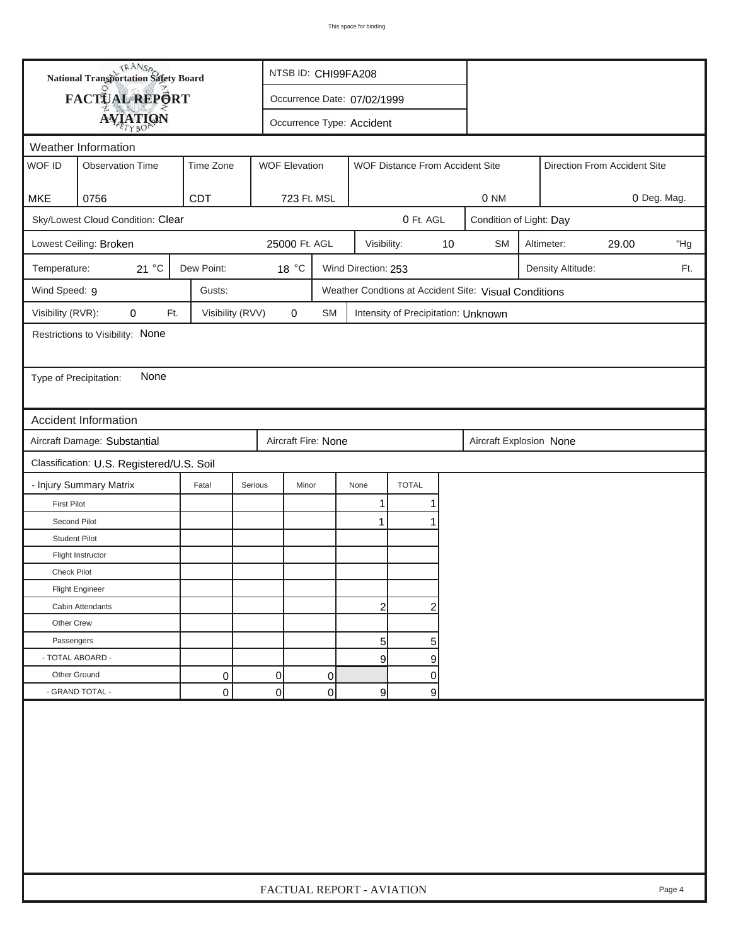| FACTUAL REPORT<br>Occurrence Date: 07/02/1999<br><b>AVIATION</b><br>Occurrence Type: Accident<br>Weather Information<br>WOF ID<br><b>WOF Elevation</b><br><b>Observation Time</b><br>Time Zone<br>WOF Distance From Accident Site<br>Direction From Accident Site<br>CDT<br><b>MKE</b><br>0756<br>723 Ft. MSL<br>0 NM<br>0 Deg. Mag.<br>Sky/Lowest Cloud Condition: Clear<br>0 Ft. AGL<br>Condition of Light: Day<br>25000 Ft. AGL<br>$10$<br>Lowest Ceiling: Broken<br>Visibility:<br><b>SM</b><br>Altimeter:<br>29.00<br>21 °C<br>Dew Point:<br>18 °C<br>Wind Direction: 253<br>Temperature:<br>Density Altitude:<br>Wind Speed: 9<br>Gusts:<br>Weather Condtions at Accident Site: Visual Conditions<br>Visibility (RVR):<br>0<br>Visibility (RVV)<br>$\pmb{0}$<br>Ft.<br>SM<br>Intensity of Precipitation: Unknown<br>Restrictions to Visibility: None<br>None<br>Type of Precipitation:<br><b>Accident Information</b><br>Aircraft Damage: Substantial<br>Aircraft Fire: None<br>Aircraft Explosion None<br>Classification: U.S. Registered/U.S. Soil<br><b>TOTAL</b><br>- Injury Summary Matrix<br>Fatal<br>Serious<br>Minor<br>None<br><b>First Pilot</b><br>1<br>1<br>Second Pilot<br>$\mathbf 1$<br><b>Student Pilot</b><br>Flight Instructor<br><b>Check Pilot</b><br><b>Flight Engineer</b><br>$\overline{2}$<br>$\overline{c}$<br>Cabin Attendants<br>Other Crew | <b>National Transportation Safety Board</b> |  |                           | NTSB ID: CHI99FA208 |  |  |  |  |  |  |     |        |
|------------------------------------------------------------------------------------------------------------------------------------------------------------------------------------------------------------------------------------------------------------------------------------------------------------------------------------------------------------------------------------------------------------------------------------------------------------------------------------------------------------------------------------------------------------------------------------------------------------------------------------------------------------------------------------------------------------------------------------------------------------------------------------------------------------------------------------------------------------------------------------------------------------------------------------------------------------------------------------------------------------------------------------------------------------------------------------------------------------------------------------------------------------------------------------------------------------------------------------------------------------------------------------------------------------------------------------------------------------------------------|---------------------------------------------|--|---------------------------|---------------------|--|--|--|--|--|--|-----|--------|
|                                                                                                                                                                                                                                                                                                                                                                                                                                                                                                                                                                                                                                                                                                                                                                                                                                                                                                                                                                                                                                                                                                                                                                                                                                                                                                                                                                              |                                             |  |                           |                     |  |  |  |  |  |  |     |        |
|                                                                                                                                                                                                                                                                                                                                                                                                                                                                                                                                                                                                                                                                                                                                                                                                                                                                                                                                                                                                                                                                                                                                                                                                                                                                                                                                                                              |                                             |  |                           |                     |  |  |  |  |  |  |     |        |
|                                                                                                                                                                                                                                                                                                                                                                                                                                                                                                                                                                                                                                                                                                                                                                                                                                                                                                                                                                                                                                                                                                                                                                                                                                                                                                                                                                              |                                             |  |                           |                     |  |  |  |  |  |  |     |        |
|                                                                                                                                                                                                                                                                                                                                                                                                                                                                                                                                                                                                                                                                                                                                                                                                                                                                                                                                                                                                                                                                                                                                                                                                                                                                                                                                                                              |                                             |  |                           |                     |  |  |  |  |  |  |     |        |
|                                                                                                                                                                                                                                                                                                                                                                                                                                                                                                                                                                                                                                                                                                                                                                                                                                                                                                                                                                                                                                                                                                                                                                                                                                                                                                                                                                              |                                             |  |                           |                     |  |  |  |  |  |  |     |        |
|                                                                                                                                                                                                                                                                                                                                                                                                                                                                                                                                                                                                                                                                                                                                                                                                                                                                                                                                                                                                                                                                                                                                                                                                                                                                                                                                                                              |                                             |  |                           |                     |  |  |  |  |  |  |     |        |
|                                                                                                                                                                                                                                                                                                                                                                                                                                                                                                                                                                                                                                                                                                                                                                                                                                                                                                                                                                                                                                                                                                                                                                                                                                                                                                                                                                              |                                             |  |                           |                     |  |  |  |  |  |  |     |        |
|                                                                                                                                                                                                                                                                                                                                                                                                                                                                                                                                                                                                                                                                                                                                                                                                                                                                                                                                                                                                                                                                                                                                                                                                                                                                                                                                                                              |                                             |  |                           |                     |  |  |  |  |  |  |     | "Hg    |
|                                                                                                                                                                                                                                                                                                                                                                                                                                                                                                                                                                                                                                                                                                                                                                                                                                                                                                                                                                                                                                                                                                                                                                                                                                                                                                                                                                              |                                             |  |                           |                     |  |  |  |  |  |  | Ft. |        |
|                                                                                                                                                                                                                                                                                                                                                                                                                                                                                                                                                                                                                                                                                                                                                                                                                                                                                                                                                                                                                                                                                                                                                                                                                                                                                                                                                                              |                                             |  |                           |                     |  |  |  |  |  |  |     |        |
|                                                                                                                                                                                                                                                                                                                                                                                                                                                                                                                                                                                                                                                                                                                                                                                                                                                                                                                                                                                                                                                                                                                                                                                                                                                                                                                                                                              |                                             |  |                           |                     |  |  |  |  |  |  |     |        |
|                                                                                                                                                                                                                                                                                                                                                                                                                                                                                                                                                                                                                                                                                                                                                                                                                                                                                                                                                                                                                                                                                                                                                                                                                                                                                                                                                                              |                                             |  |                           |                     |  |  |  |  |  |  |     |        |
|                                                                                                                                                                                                                                                                                                                                                                                                                                                                                                                                                                                                                                                                                                                                                                                                                                                                                                                                                                                                                                                                                                                                                                                                                                                                                                                                                                              |                                             |  |                           |                     |  |  |  |  |  |  |     |        |
|                                                                                                                                                                                                                                                                                                                                                                                                                                                                                                                                                                                                                                                                                                                                                                                                                                                                                                                                                                                                                                                                                                                                                                                                                                                                                                                                                                              |                                             |  |                           |                     |  |  |  |  |  |  |     |        |
|                                                                                                                                                                                                                                                                                                                                                                                                                                                                                                                                                                                                                                                                                                                                                                                                                                                                                                                                                                                                                                                                                                                                                                                                                                                                                                                                                                              |                                             |  |                           |                     |  |  |  |  |  |  |     |        |
|                                                                                                                                                                                                                                                                                                                                                                                                                                                                                                                                                                                                                                                                                                                                                                                                                                                                                                                                                                                                                                                                                                                                                                                                                                                                                                                                                                              |                                             |  |                           |                     |  |  |  |  |  |  |     |        |
|                                                                                                                                                                                                                                                                                                                                                                                                                                                                                                                                                                                                                                                                                                                                                                                                                                                                                                                                                                                                                                                                                                                                                                                                                                                                                                                                                                              |                                             |  |                           |                     |  |  |  |  |  |  |     |        |
|                                                                                                                                                                                                                                                                                                                                                                                                                                                                                                                                                                                                                                                                                                                                                                                                                                                                                                                                                                                                                                                                                                                                                                                                                                                                                                                                                                              |                                             |  |                           |                     |  |  |  |  |  |  |     |        |
|                                                                                                                                                                                                                                                                                                                                                                                                                                                                                                                                                                                                                                                                                                                                                                                                                                                                                                                                                                                                                                                                                                                                                                                                                                                                                                                                                                              |                                             |  |                           |                     |  |  |  |  |  |  |     |        |
|                                                                                                                                                                                                                                                                                                                                                                                                                                                                                                                                                                                                                                                                                                                                                                                                                                                                                                                                                                                                                                                                                                                                                                                                                                                                                                                                                                              |                                             |  |                           |                     |  |  |  |  |  |  |     |        |
|                                                                                                                                                                                                                                                                                                                                                                                                                                                                                                                                                                                                                                                                                                                                                                                                                                                                                                                                                                                                                                                                                                                                                                                                                                                                                                                                                                              |                                             |  |                           |                     |  |  |  |  |  |  |     |        |
|                                                                                                                                                                                                                                                                                                                                                                                                                                                                                                                                                                                                                                                                                                                                                                                                                                                                                                                                                                                                                                                                                                                                                                                                                                                                                                                                                                              |                                             |  |                           |                     |  |  |  |  |  |  |     |        |
|                                                                                                                                                                                                                                                                                                                                                                                                                                                                                                                                                                                                                                                                                                                                                                                                                                                                                                                                                                                                                                                                                                                                                                                                                                                                                                                                                                              |                                             |  |                           |                     |  |  |  |  |  |  |     |        |
|                                                                                                                                                                                                                                                                                                                                                                                                                                                                                                                                                                                                                                                                                                                                                                                                                                                                                                                                                                                                                                                                                                                                                                                                                                                                                                                                                                              |                                             |  |                           |                     |  |  |  |  |  |  |     |        |
|                                                                                                                                                                                                                                                                                                                                                                                                                                                                                                                                                                                                                                                                                                                                                                                                                                                                                                                                                                                                                                                                                                                                                                                                                                                                                                                                                                              |                                             |  |                           |                     |  |  |  |  |  |  |     |        |
|                                                                                                                                                                                                                                                                                                                                                                                                                                                                                                                                                                                                                                                                                                                                                                                                                                                                                                                                                                                                                                                                                                                                                                                                                                                                                                                                                                              |                                             |  |                           |                     |  |  |  |  |  |  |     |        |
|                                                                                                                                                                                                                                                                                                                                                                                                                                                                                                                                                                                                                                                                                                                                                                                                                                                                                                                                                                                                                                                                                                                                                                                                                                                                                                                                                                              |                                             |  |                           |                     |  |  |  |  |  |  |     |        |
| 5<br>Passengers<br>5 <sub>5</sub>                                                                                                                                                                                                                                                                                                                                                                                                                                                                                                                                                                                                                                                                                                                                                                                                                                                                                                                                                                                                                                                                                                                                                                                                                                                                                                                                            |                                             |  |                           |                     |  |  |  |  |  |  |     |        |
| - TOTAL ABOARD -<br>$\overline{9}$<br>9                                                                                                                                                                                                                                                                                                                                                                                                                                                                                                                                                                                                                                                                                                                                                                                                                                                                                                                                                                                                                                                                                                                                                                                                                                                                                                                                      |                                             |  |                           |                     |  |  |  |  |  |  |     |        |
| Other Ground<br>0<br>0<br>0<br>0                                                                                                                                                                                                                                                                                                                                                                                                                                                                                                                                                                                                                                                                                                                                                                                                                                                                                                                                                                                                                                                                                                                                                                                                                                                                                                                                             |                                             |  |                           |                     |  |  |  |  |  |  |     |        |
| - GRAND TOTAL -<br>$\overline{0}$<br>0<br>0<br>9<br> 9                                                                                                                                                                                                                                                                                                                                                                                                                                                                                                                                                                                                                                                                                                                                                                                                                                                                                                                                                                                                                                                                                                                                                                                                                                                                                                                       |                                             |  |                           |                     |  |  |  |  |  |  |     |        |
|                                                                                                                                                                                                                                                                                                                                                                                                                                                                                                                                                                                                                                                                                                                                                                                                                                                                                                                                                                                                                                                                                                                                                                                                                                                                                                                                                                              |                                             |  | FACTUAL REPORT - AVIATION |                     |  |  |  |  |  |  |     | Page 4 |